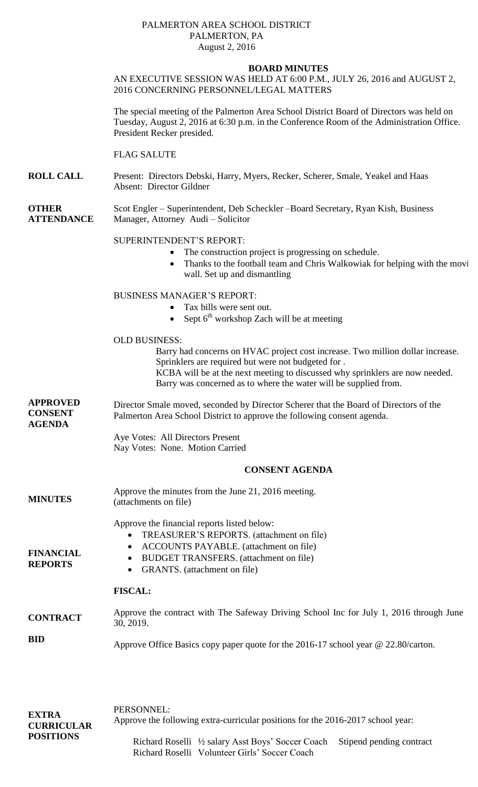## PALMERTON AREA SCHOOL DISTRICT PALMERTON, PA August 2, 2016

## **BOARD MINUTES**

## AN EXECUTIVE SESSION WAS HELD AT 6:00 P.M., JULY 26, 2016 and AUGUST 2, 2016 CONCERNING PERSONNEL/LEGAL MATTERS

The special meeting of the Palmerton Area School District Board of Directors was held on Tuesday, August 2, 2016 at 6:30 p.m. in the Conference Room of the Administration Office. President Recker presided.

## FLAG SALUTE

**ROLL CALL** Present: Directors Debski, Harry, Myers, Recker, Scherer, Smale, Yeakel and Haas Absent: Director Gildner

**OTHER ATTENDANCE** Scot Engler – Superintendent, Deb Scheckler –Board Secretary, Ryan Kish, Business Manager, Attorney Audi – Solicitor

## SUPERINTENDENT'S REPORT:

- The construction project is progressing on schedule.
- Thanks to the football team and Chris Walkowiak for helping with the moving wall. Set up and dismantling

BUSINESS MANAGER'S REPORT:

- Tax bills were sent out.
- Sept  $6<sup>th</sup>$  workshop Zach will be at meeting

#### OLD BUSINESS:

Barry had concerns on HVAC project cost increase. Two million dollar increase. Sprinklers are required but were not budgeted for .

KCBA will be at the next meeting to discussed why sprinklers are now needed. Barry was concerned as to where the water will be supplied from.

**APPROVED CONSENT AGENDA** Director Smale moved, seconded by Director Scherer that the Board of Directors of the Palmerton Area School District to approve the following consent agenda.

> Aye Votes: All Directors Present Nay Votes: None. Motion Carried

#### **CONSENT AGENDA**

**MINUTES** Approve the minutes from the June 21, 2016 meeting. (attachments on file)

Approve the financial reports listed below:

GRANTS. (attachment on file)

- TREASURER'S REPORTS. (attachment on file)
- ACCOUNTS PAYABLE. (attachment on file)
- BUDGET TRANSFERS. (attachment on file)
- **FINANCIAL REPORTS**

#### **FISCAL:**

- **CONTRACT** Approve the contract with The Safeway Driving School Inc for July 1, 2016 through June 30, 2019.
- **BID** Approve Office Basics copy paper quote for the 2016-17 school year @ 22.80/carton.

| <b>EXTRA</b><br><b>CURRICULAR</b><br><b>POSITIONS</b> | PERSONNEL:<br>Approve the following extra-curricular positions for the 2016-2017 school year: |                                                                                                                              |  |
|-------------------------------------------------------|-----------------------------------------------------------------------------------------------|------------------------------------------------------------------------------------------------------------------------------|--|
|                                                       |                                                                                               | Richard Roselli 1/2 salary Asst Boys' Soccer Coach Stipend pending contract<br>Richard Roselli Volunteer Girls' Soccer Coach |  |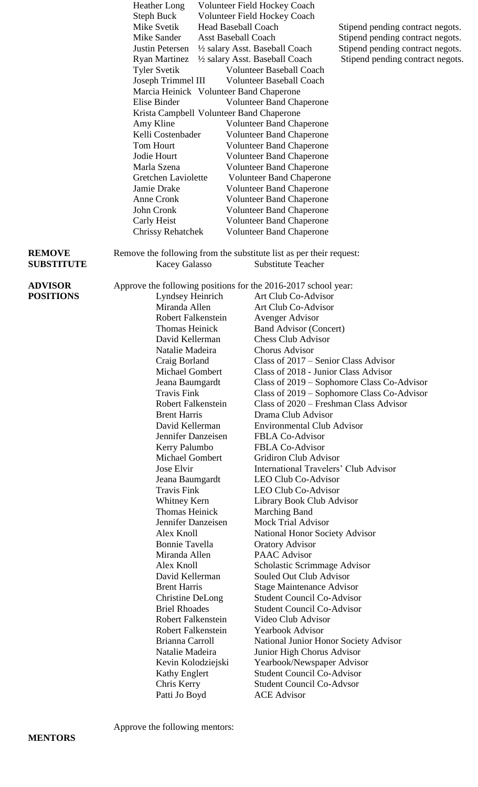|                                    | <b>Heather Long</b><br>Steph Buck                                   | Volunteer Field Hockey Coach<br><b>Volunteer Field Hockey Coach</b>   |                                            |
|------------------------------------|---------------------------------------------------------------------|-----------------------------------------------------------------------|--------------------------------------------|
|                                    | Mike Svetik<br><b>Head Baseball Coach</b>                           |                                                                       | Stipend pending contract negots.           |
|                                    | Mike Sander<br><b>Asst Baseball Coach</b>                           |                                                                       | Stipend pending contract negots.           |
|                                    | Justin Petersen                                                     | 1/2 salary Asst. Baseball Coach                                       | Stipend pending contract negots.           |
|                                    | <b>Ryan Martinez</b>                                                | 1/2 salary Asst. Baseball Coach                                       | Stipend pending contract negots.           |
|                                    | <b>Tyler Svetik</b>                                                 | <b>Volunteer Baseball Coach</b>                                       |                                            |
|                                    | Joseph Trimmel III                                                  | <b>Volunteer Baseball Coach</b>                                       |                                            |
|                                    | Marcia Heinick Volunteer Band Chaperone                             |                                                                       |                                            |
|                                    | Elise Binder                                                        | <b>Volunteer Band Chaperone</b>                                       |                                            |
|                                    | Krista Campbell Volunteer Band Chaperone                            |                                                                       |                                            |
|                                    | Amy Kline                                                           | <b>Volunteer Band Chaperone</b>                                       |                                            |
|                                    | Kelli Costenbader                                                   | <b>Volunteer Band Chaperone</b>                                       |                                            |
|                                    | Tom Hourt                                                           | <b>Volunteer Band Chaperone</b>                                       |                                            |
|                                    | Jodie Hourt<br>Marla Szena                                          | <b>Volunteer Band Chaperone</b>                                       |                                            |
|                                    |                                                                     | <b>Volunteer Band Chaperone</b>                                       |                                            |
|                                    | Gretchen Laviolette<br>Jamie Drake                                  | <b>Volunteer Band Chaperone</b>                                       |                                            |
|                                    | Anne Cronk                                                          | <b>Volunteer Band Chaperone</b><br><b>Volunteer Band Chaperone</b>    |                                            |
|                                    | John Cronk                                                          | <b>Volunteer Band Chaperone</b>                                       |                                            |
|                                    | Carly Heist                                                         | <b>Volunteer Band Chaperone</b>                                       |                                            |
|                                    | <b>Chrissy Rehatchek</b>                                            | <b>Volunteer Band Chaperone</b>                                       |                                            |
|                                    |                                                                     |                                                                       |                                            |
| <b>REMOVE</b>                      | Remove the following from the substitute list as per their request: |                                                                       |                                            |
| <b>SUBSTITUTE</b>                  | <b>Kacey Galasso</b>                                                | <b>Substitute Teacher</b>                                             |                                            |
|                                    |                                                                     |                                                                       |                                            |
| <b>ADVISOR</b><br><b>POSITIONS</b> | Approve the following positions for the 2016-2017 school year:      |                                                                       |                                            |
|                                    | Lyndsey Heinrich                                                    | Art Club Co-Advisor                                                   |                                            |
|                                    | Miranda Allen                                                       | Art Club Co-Advisor                                                   |                                            |
|                                    | <b>Robert Falkenstein</b>                                           | Avenger Advisor                                                       |                                            |
|                                    | <b>Thomas Heinick</b>                                               | <b>Band Advisor (Concert)</b>                                         |                                            |
|                                    | David Kellerman                                                     | <b>Chess Club Advisor</b>                                             |                                            |
|                                    | Natalie Madeira                                                     | Chorus Advisor                                                        |                                            |
|                                    | Craig Borland                                                       | Class of 2017 – Senior Class Advisor                                  |                                            |
|                                    | <b>Michael Gombert</b>                                              | Class of 2018 - Junior Class Advisor                                  |                                            |
|                                    | Jeana Baumgardt                                                     |                                                                       | Class of 2019 - Sophomore Class Co-Advisor |
|                                    | <b>Travis Fink</b>                                                  |                                                                       | Class of 2019 – Sophomore Class Co-Advisor |
|                                    | <b>Robert Falkenstein</b>                                           | Class of 2020 – Freshman Class Advisor                                |                                            |
|                                    | <b>Brent Harris</b>                                                 | Drama Club Advisor                                                    |                                            |
|                                    | David Kellerman                                                     | <b>Environmental Club Advisor</b>                                     |                                            |
|                                    | Jennifer Danzeisen                                                  | <b>FBLA Co-Advisor</b>                                                |                                            |
|                                    | Kerry Palumbo                                                       | <b>FBLA Co-Advisor</b>                                                |                                            |
|                                    | Michael Gombert<br>Jose Elvir                                       | <b>Gridiron Club Advisor</b><br>International Travelers' Club Advisor |                                            |
|                                    | Jeana Baumgardt                                                     | <b>LEO Club Co-Advisor</b>                                            |                                            |
|                                    | <b>Travis Fink</b>                                                  | LEO Club Co-Advisor                                                   |                                            |
|                                    | Whitney Kern                                                        | Library Book Club Advisor                                             |                                            |
|                                    | <b>Thomas Heinick</b>                                               | <b>Marching Band</b>                                                  |                                            |
|                                    | Jennifer Danzeisen                                                  | <b>Mock Trial Advisor</b>                                             |                                            |
|                                    | Alex Knoll                                                          | <b>National Honor Society Advisor</b>                                 |                                            |
|                                    | <b>Bonnie Tavella</b>                                               | <b>Oratory Advisor</b>                                                |                                            |
|                                    | Miranda Allen                                                       | <b>PAAC</b> Advisor                                                   |                                            |
|                                    | Alex Knoll                                                          | Scholastic Scrimmage Advisor                                          |                                            |
|                                    | David Kellerman                                                     | Souled Out Club Advisor                                               |                                            |
|                                    | <b>Brent Harris</b>                                                 | <b>Stage Maintenance Advisor</b>                                      |                                            |
|                                    | Christine DeLong                                                    | <b>Student Council Co-Advisor</b>                                     |                                            |
|                                    | <b>Briel Rhoades</b>                                                | <b>Student Council Co-Advisor</b>                                     |                                            |
|                                    | <b>Robert Falkenstein</b>                                           | Video Club Advisor                                                    |                                            |
|                                    | <b>Robert Falkenstein</b>                                           | <b>Yearbook Advisor</b>                                               |                                            |
|                                    | Brianna Carroll                                                     | National Junior Honor Society Advisor                                 |                                            |
|                                    | Natalie Madeira                                                     | Junior High Chorus Advisor                                            |                                            |
|                                    | Kevin Kolodziejski                                                  | Yearbook/Newspaper Advisor                                            |                                            |
|                                    | <b>Kathy Englert</b>                                                | <b>Student Council Co-Advisor</b>                                     |                                            |
|                                    | Chris Kerry                                                         | <b>Student Council Co-Advsor</b>                                      |                                            |
|                                    | Patti Jo Boyd                                                       | <b>ACE Advisor</b>                                                    |                                            |
|                                    |                                                                     |                                                                       |                                            |

Approve the following mentors: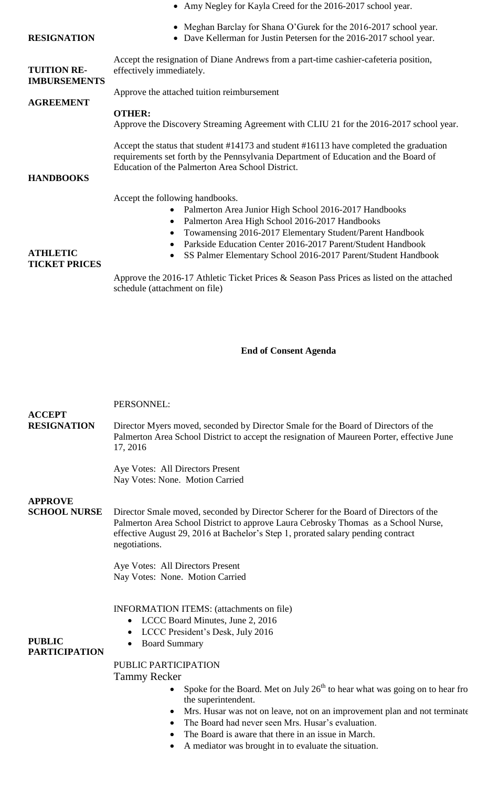|                                                             | • Amy Negley for Kayla Creed for the 2016-2017 school year.                                                                                                                                                                                                                                                                                 |  |  |  |
|-------------------------------------------------------------|---------------------------------------------------------------------------------------------------------------------------------------------------------------------------------------------------------------------------------------------------------------------------------------------------------------------------------------------|--|--|--|
| <b>RESIGNATION</b>                                          | Meghan Barclay for Shana O'Gurek for the 2016-2017 school year.<br>Dave Kellerman for Justin Petersen for the 2016-2017 school year.                                                                                                                                                                                                        |  |  |  |
| <b>TUITION RE-</b><br><b>IMBURSEMENTS</b>                   | Accept the resignation of Diane Andrews from a part-time cashier-cafeteria position,<br>effectively immediately.                                                                                                                                                                                                                            |  |  |  |
|                                                             | Approve the attached tuition reimbursement                                                                                                                                                                                                                                                                                                  |  |  |  |
| <b>AGREEMENT</b>                                            | <b>OTHER:</b><br>Approve the Discovery Streaming Agreement with CLIU 21 for the 2016-2017 school year.<br>Accept the status that student #14173 and student #16113 have completed the graduation<br>requirements set forth by the Pennsylvania Department of Education and the Board of<br>Education of the Palmerton Area School District. |  |  |  |
| <b>HANDBOOKS</b><br><b>ATHLETIC</b><br><b>TICKET PRICES</b> | Accept the following handbooks.<br>Palmerton Area Junior High School 2016-2017 Handbooks<br>Palmerton Area High School 2016-2017 Handbooks<br>Towamensing 2016-2017 Elementary Student/Parent Handbook<br>Parkside Education Center 2016-2017 Parent/Student Handbook<br>SS Palmer Elementary School 2016-2017 Parent/Student Handbook      |  |  |  |

Approve the 2016-17 Athletic Ticket Prices & Season Pass Prices as listed on the attached schedule (attachment on file)

### **End of Consent Agenda**

#### PERSONNEL:

**RESIGNATION** Director Myers moved, seconded by Director Smale for the Board of Directors of the Palmerton Area School District to accept the resignation of Maureen Porter, effective June 17, 2016

> Aye Votes: All Directors Present Nay Votes: None. Motion Carried

## **APPROVE**

**ACCEPT**

**SCHOOL NURSE**

Director Smale moved, seconded by Director Scherer for the Board of Directors of the Palmerton Area School District to approve Laura Cebrosky Thomas as a School Nurse, effective August 29, 2016 at Bachelor's Step 1, prorated salary pending contract negotiations.

Aye Votes: All Directors Present Nay Votes: None. Motion Carried

INFORMATION ITEMS: (attachments on file)

- LCCC Board Minutes, June 2, 2016
	- LCCC President's Desk, July 2016

**PUBLIC PARTICIPATION**

Board Summary

# PUBLIC PARTICIPATION

Tammy Recker

- Spoke for the Board. Met on July  $26<sup>th</sup>$  to hear what was going on to hear from the superintendent.
- Mrs. Husar was not on leave, not on an improvement plan and not terminate
- The Board had never seen Mrs. Husar's evaluation.
- The Board is aware that there in an issue in March.
- A mediator was brought in to evaluate the situation.